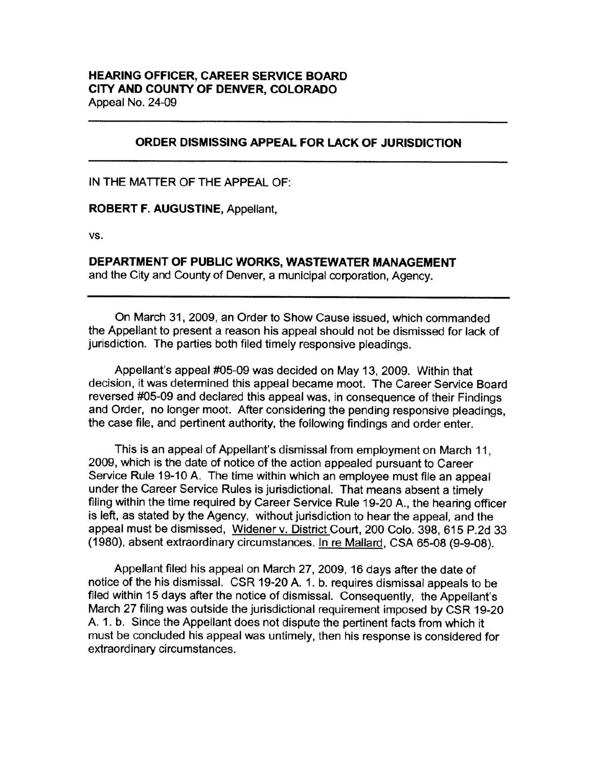## **ORDER DISMISSING APPEAL FOR LACK OF JURISDICTION**

IN THE MATTER OF THE APPEAL OF:

**ROBERT F. AUGUSTINE,** Appellant,

vs.

**DEPARTMENT OF PUBLIC WORKS, WASTEWATER MANAGEMENT** 

and the City and County of Denver, a municipal corporation, Agency.

On March 31, 2009, an Order to Show Cause issued, which commanded the Appellant to present a reason his appeal should not be dismissed for lack of jurisdiction. The parties both filed timely responsive pleadings.

Appellant's appeal #05-09 was decided on May 13, 2009. Within that decision, it was determined this appeal became moot. The Career Service Board reversed #05-09 and declared this appeal was, in consequence of their Findings and Order, no longer moot. After considering the pending responsive pleadings, the case file, and pertinent authority, the following findings and order enter.

This is an appeal of Appellant's dismissal from employment on March 11, 2009, which is the date of notice of the action appealed pursuant to Career Service Rule 19-10 A. The time within which an employee must file an appeal under the Career Service Rules is jurisdictional. That means absent a timely filing within the time required by Career Service Rule 19-20 A., the hearing officer is left, as stated by the Agency, without jurisdiction to hear the appeal, and the appeal must be dismissed, Widener v. District Court, 200 Colo. 398, 615 P.2d 33 (1980), absent extraordinary circumstances. In re Mallard, CSA 65-08 (9-9-08).

Appellant filed his appeal on March 27, 2009, 16 days after the date of notice of the his dismissal. CSR 19-20 A. 1. b. requires dismissal appeals to be filed within 15 days after the notice of dismissal. Consequently, the Appellant's March 27 filing was outside the jurisdictional requirement imposed by CSR 19-20 A. 1. b. Since the Appellant does not dispute the pertinent facts from which it must be concluded his appeal was untimely, then his response is considered for extraordinary circumstances.